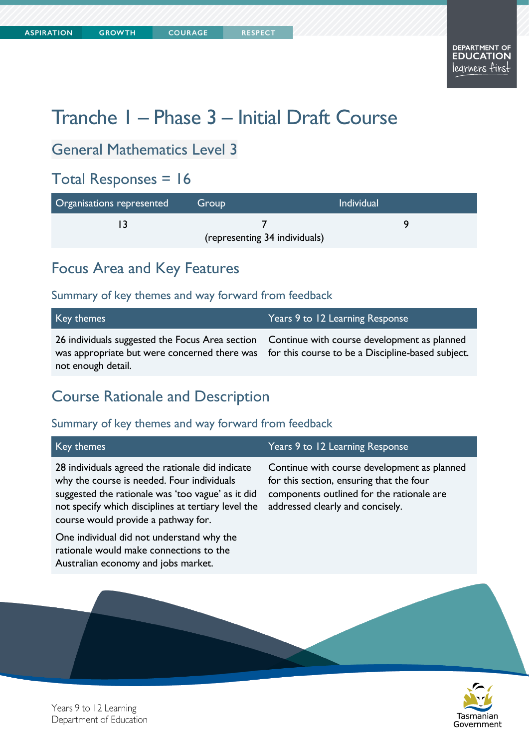**COURAGE** 

# Tranche 1 – Phase 3 – Initial Draft Course

## General Mathematics Level 3

## Total Responses = 16

| Organisations represented | Group                         | <b>Individual</b> |
|---------------------------|-------------------------------|-------------------|
|                           |                               |                   |
|                           | (representing 34 individuals) |                   |

## Focus Area and Key Features

#### Summary of key themes and way forward from feedback

| Key themes                                                                                                                                                                                                          | Years 9 to 12 Learning Response |
|---------------------------------------------------------------------------------------------------------------------------------------------------------------------------------------------------------------------|---------------------------------|
| 26 individuals suggested the Focus Area section Continue with course development as planned<br>was appropriate but were concerned there was for this course to be a Discipline-based subject.<br>not enough detail. |                                 |

## Course Rationale and Description

| Key themes                                                                                                                                                                                                                                        | Years 9 to 12 Learning Response                                                                                                                                          |
|---------------------------------------------------------------------------------------------------------------------------------------------------------------------------------------------------------------------------------------------------|--------------------------------------------------------------------------------------------------------------------------------------------------------------------------|
| 28 individuals agreed the rationale did indicate<br>why the course is needed. Four individuals<br>suggested the rationale was 'too vague' as it did<br>not specify which disciplines at tertiary level the<br>course would provide a pathway for. | Continue with course development as planned<br>for this section, ensuring that the four<br>components outlined for the rationale are<br>addressed clearly and concisely. |
| One individual did not understand why the<br>rationale would make connections to the<br>Australian economy and jobs market.                                                                                                                       |                                                                                                                                                                          |

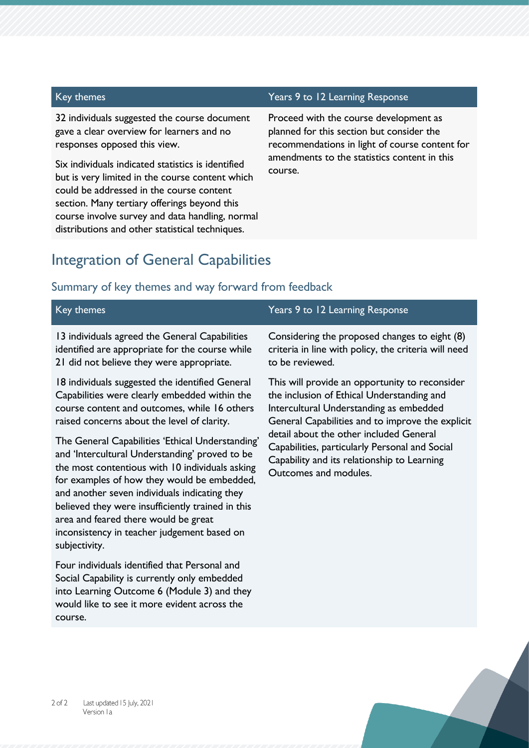32 individuals suggested the course document gave a clear overview for learners and no responses opposed this view.

Six individuals indicated statistics is identified but is very limited in the course content which could be addressed in the course content section. Many tertiary offerings beyond this course involve survey and data handling, normal distributions and other statistical techniques.

#### Key themes Years 9 to 12 Learning Response

Proceed with the course development as planned for this section but consider the recommendations in light of course content for amendments to the statistics content in this course.

#### Integration of General Capabilities

#### Summary of key themes and way forward from feedback

| Key themes                                                                                                                                                                                                                                                                                                                                                                                        | Years 9 to 12 Learning Response                                                                                                                                   |
|---------------------------------------------------------------------------------------------------------------------------------------------------------------------------------------------------------------------------------------------------------------------------------------------------------------------------------------------------------------------------------------------------|-------------------------------------------------------------------------------------------------------------------------------------------------------------------|
| 13 individuals agreed the General Capabilities                                                                                                                                                                                                                                                                                                                                                    | Considering the proposed changes to eight (8)                                                                                                                     |
| identified are appropriate for the course while                                                                                                                                                                                                                                                                                                                                                   | criteria in line with policy, the criteria will need                                                                                                              |
| 21 did not believe they were appropriate.                                                                                                                                                                                                                                                                                                                                                         | to be reviewed.                                                                                                                                                   |
| 18 individuals suggested the identified General                                                                                                                                                                                                                                                                                                                                                   | This will provide an opportunity to reconsider                                                                                                                    |
| Capabilities were clearly embedded within the                                                                                                                                                                                                                                                                                                                                                     | the inclusion of Ethical Understanding and                                                                                                                        |
| course content and outcomes, while 16 others                                                                                                                                                                                                                                                                                                                                                      | Intercultural Understanding as embedded                                                                                                                           |
| raised concerns about the level of clarity.                                                                                                                                                                                                                                                                                                                                                       | General Capabilities and to improve the explicit                                                                                                                  |
| The General Capabilities 'Ethical Understanding'<br>and 'Intercultural Understanding' proved to be<br>the most contentious with 10 individuals asking<br>for examples of how they would be embedded,<br>and another seven individuals indicating they<br>believed they were insufficiently trained in this<br>area and feared there would be great<br>inconsistency in teacher judgement based on | detail about the other included General<br>Capabilities, particularly Personal and Social<br>Capability and its relationship to Learning<br>Outcomes and modules. |

Four individuals identified that Personal and Social Capability is currently only embedded into Learning Outcome 6 (Module 3) and they would like to see it more evident across the course.

subjectivity.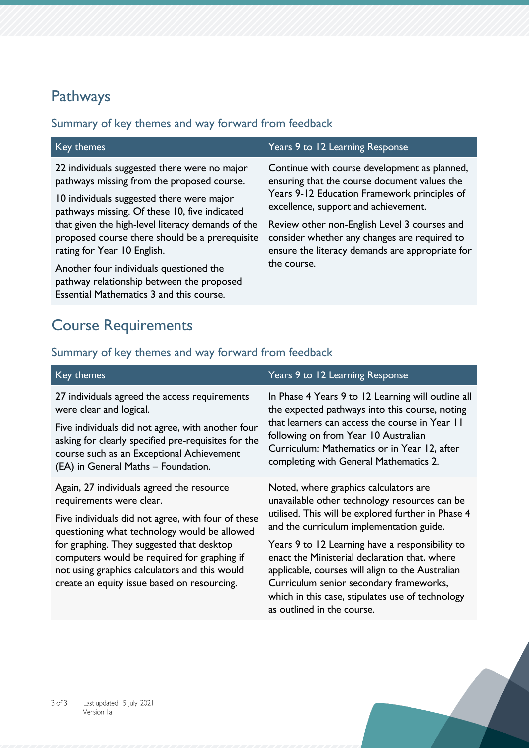## Pathways

#### Summary of key themes and way forward from feedback

| Key themes                                                                                                                       | Years 9 to 12 Learning Response                 |
|----------------------------------------------------------------------------------------------------------------------------------|-------------------------------------------------|
| 22 individuals suggested there were no major                                                                                     | Continue with course development as planned,    |
| pathways missing from the proposed course.                                                                                       | ensuring that the course document values the    |
| 10 individuals suggested there were major                                                                                        | Years 9-12 Education Framework principles of    |
| pathways missing. Of these 10, five indicated                                                                                    | excellence, support and achievement.            |
| that given the high-level literacy demands of the                                                                                | Review other non-English Level 3 courses and    |
| proposed course there should be a prerequisite                                                                                   | consider whether any changes are required to    |
| rating for Year 10 English.                                                                                                      | ensure the literacy demands are appropriate for |
| Another four individuals questioned the<br>pathway relationship between the proposed<br>Essential Mathematics 3 and this course. | the course.                                     |

## Course Requirements

| Key themes                                                                                                                                                                                                                                                                                                                                                              | Years 9 to 12 Learning Response                                                                                                                                                                                                                                                                                                                                                                                                                                               |
|-------------------------------------------------------------------------------------------------------------------------------------------------------------------------------------------------------------------------------------------------------------------------------------------------------------------------------------------------------------------------|-------------------------------------------------------------------------------------------------------------------------------------------------------------------------------------------------------------------------------------------------------------------------------------------------------------------------------------------------------------------------------------------------------------------------------------------------------------------------------|
| 27 individuals agreed the access requirements<br>were clear and logical.<br>Five individuals did not agree, with another four<br>asking for clearly specified pre-requisites for the<br>course such as an Exceptional Achievement<br>(EA) in General Maths - Foundation.                                                                                                | In Phase 4 Years 9 to 12 Learning will outline all<br>the expected pathways into this course, noting<br>that learners can access the course in Year II<br>following on from Year 10 Australian<br>Curriculum: Mathematics or in Year 12, after<br>completing with General Mathematics 2.                                                                                                                                                                                      |
| Again, 27 individuals agreed the resource<br>requirements were clear.<br>Five individuals did not agree, with four of these<br>questioning what technology would be allowed<br>for graphing. They suggested that desktop<br>computers would be required for graphing if<br>not using graphics calculators and this would<br>create an equity issue based on resourcing. | Noted, where graphics calculators are<br>unavailable other technology resources can be<br>utilised. This will be explored further in Phase 4<br>and the curriculum implementation guide.<br>Years 9 to 12 Learning have a responsibility to<br>enact the Ministerial declaration that, where<br>applicable, courses will align to the Australian<br>Curriculum senior secondary frameworks,<br>which in this case, stipulates use of technology<br>as outlined in the course. |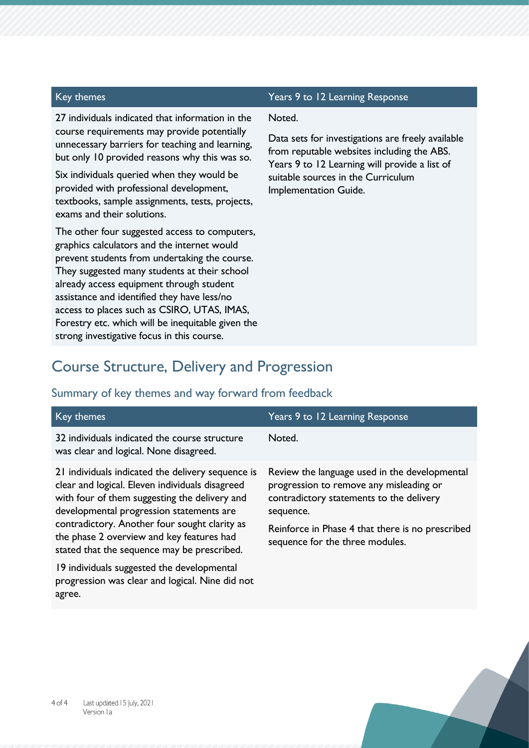27 individuals indicated that information in the course requirements may provide potentially unnecessary barriers for teaching and learning, but only 10 provided reasons why this was so.

Six individuals queried when they would be provided with professional development, textbooks, sample assignments, tests, projects, exams and their solutions.

The other four suggested access to computers, graphics calculators and the internet would prevent students from undertaking the course. They suggested many students at their school already access equipment through student assistance and identified they have less/no access to places such as CSIRO, UTAS, IMAS, Forestry etc. which will be inequitable given the strong investigative focus in this course.

#### Key themes Years 9 to 12 Learning Response

#### Noted.

Data sets for investigations are freely available from reputable websites including the ABS. Years 9 to 12 Learning will provide a list of suitable sources in the Curriculum Implementation Guide.

#### Course Structure, Delivery and Progression

| Key themes                                                                                                                                                                                                                                                                                                                                     | Years 9 to 12 Learning Response                                                                                                                                                                                                          |
|------------------------------------------------------------------------------------------------------------------------------------------------------------------------------------------------------------------------------------------------------------------------------------------------------------------------------------------------|------------------------------------------------------------------------------------------------------------------------------------------------------------------------------------------------------------------------------------------|
| 32 individuals indicated the course structure<br>was clear and logical. None disagreed.                                                                                                                                                                                                                                                        | Noted.                                                                                                                                                                                                                                   |
| 21 individuals indicated the delivery sequence is<br>clear and logical. Eleven individuals disagreed<br>with four of them suggesting the delivery and<br>developmental progression statements are<br>contradictory. Another four sought clarity as<br>the phase 2 overview and key features had<br>stated that the sequence may be prescribed. | Review the language used in the developmental<br>progression to remove any misleading or<br>contradictory statements to the delivery<br>sequence.<br>Reinforce in Phase 4 that there is no prescribed<br>sequence for the three modules. |
| 19 individuals suggested the developmental<br>progression was clear and logical. Nine did not                                                                                                                                                                                                                                                  |                                                                                                                                                                                                                                          |

#### Summary of key themes and way forward from feedback

agree.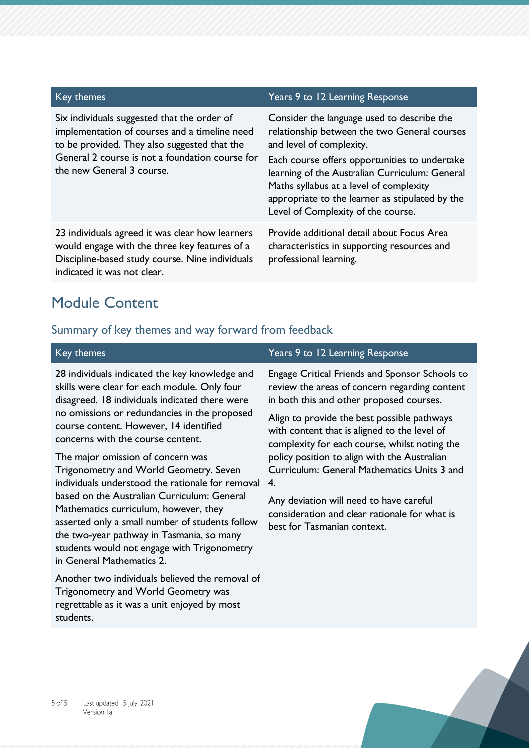| Key themes                                                                                                                                                                                                                   | Years 9 to 12 Learning Response                                                                                                                                                                                                                                      |
|------------------------------------------------------------------------------------------------------------------------------------------------------------------------------------------------------------------------------|----------------------------------------------------------------------------------------------------------------------------------------------------------------------------------------------------------------------------------------------------------------------|
| Six individuals suggested that the order of<br>implementation of courses and a timeline need<br>to be provided. They also suggested that the<br>General 2 course is not a foundation course for<br>the new General 3 course. | Consider the language used to describe the<br>relationship between the two General courses<br>and level of complexity.<br>Each course offers opportunities to undertake<br>learning of the Australian Curriculum: General<br>Maths syllabus at a level of complexity |
|                                                                                                                                                                                                                              | appropriate to the learner as stipulated by the<br>Level of Complexity of the course.                                                                                                                                                                                |
| 23 individuals agreed it was clear how learners<br>would engage with the three key features of a<br>Discipline-based study course. Nine individuals<br>indicated it was not clear.                                           | Provide additional detail about Focus Area<br>characteristics in supporting resources and<br>professional learning.                                                                                                                                                  |

## Module Content

| Key themes                                                                                                                                                                                                                                                                                                                                                                                                                                                                                                                                                                                                                                                                             | Years 9 to 12 Learning Response                                                                                                                                                                                                                                                                                                                                                                                                                                                                                             |
|----------------------------------------------------------------------------------------------------------------------------------------------------------------------------------------------------------------------------------------------------------------------------------------------------------------------------------------------------------------------------------------------------------------------------------------------------------------------------------------------------------------------------------------------------------------------------------------------------------------------------------------------------------------------------------------|-----------------------------------------------------------------------------------------------------------------------------------------------------------------------------------------------------------------------------------------------------------------------------------------------------------------------------------------------------------------------------------------------------------------------------------------------------------------------------------------------------------------------------|
| 28 individuals indicated the key knowledge and<br>skills were clear for each module. Only four<br>disagreed. 18 individuals indicated there were<br>no omissions or redundancies in the proposed<br>course content. However, 14 identified<br>concerns with the course content.<br>The major omission of concern was<br>Trigonometry and World Geometry. Seven<br>individuals understood the rationale for removal<br>based on the Australian Curriculum: General<br>Mathematics curriculum, however, they<br>asserted only a small number of students follow<br>the two-year pathway in Tasmania, so many<br>students would not engage with Trigonometry<br>in General Mathematics 2. | Engage Critical Friends and Sponsor Schools to<br>review the areas of concern regarding content<br>in both this and other proposed courses.<br>Align to provide the best possible pathways<br>with content that is aligned to the level of<br>complexity for each course, whilst noting the<br>policy position to align with the Australian<br>Curriculum: General Mathematics Units 3 and<br>4.<br>Any deviation will need to have careful<br>consideration and clear rationale for what is<br>best for Tasmanian context. |
| Another two individuals believed the removal of<br><b>Trigonometry and World Geometry was</b><br>regrettable as it was a unit enjoyed by most<br>students.                                                                                                                                                                                                                                                                                                                                                                                                                                                                                                                             |                                                                                                                                                                                                                                                                                                                                                                                                                                                                                                                             |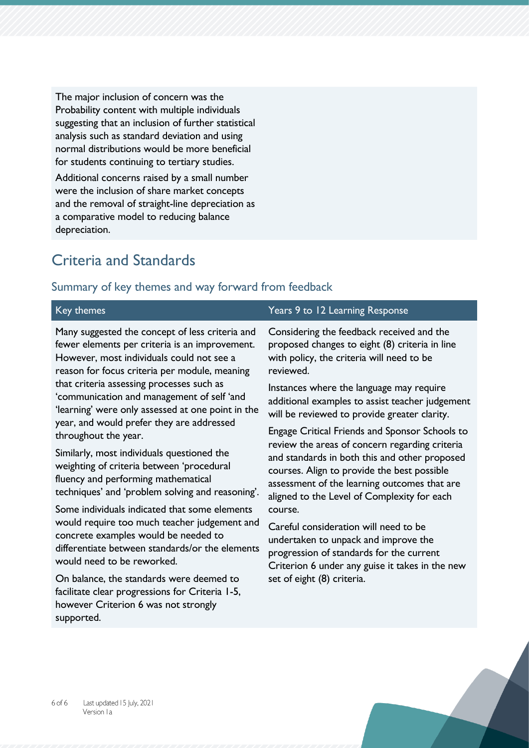The major inclusion of concern was the Probability content with multiple individuals suggesting that an inclusion of further statistical analysis such as standard deviation and using normal distributions would be more beneficial for students continuing to tertiary studies.

Additional concerns raised by a small number were the inclusion of share market concepts and the removal of straight-line depreciation as a comparative model to reducing balance depreciation.

## Criteria and Standards

| Key themes                                                                                                                                                                                                                                                                                                                                                                                   | Years 9 to 12 Learning Response                                                                                                                                                                                                               |
|----------------------------------------------------------------------------------------------------------------------------------------------------------------------------------------------------------------------------------------------------------------------------------------------------------------------------------------------------------------------------------------------|-----------------------------------------------------------------------------------------------------------------------------------------------------------------------------------------------------------------------------------------------|
| Many suggested the concept of less criteria and<br>fewer elements per criteria is an improvement.<br>However, most individuals could not see a<br>reason for focus criteria per module, meaning<br>that criteria assessing processes such as<br>'communication and management of self 'and<br>'learning' were only assessed at one point in the<br>year, and would prefer they are addressed | Considering the feedback received and the<br>proposed changes to eight (8) criteria in line<br>with policy, the criteria will need to be<br>reviewed.                                                                                         |
|                                                                                                                                                                                                                                                                                                                                                                                              | Instances where the language may require<br>additional examples to assist teacher judgement<br>will be reviewed to provide greater clarity.                                                                                                   |
| throughout the year.                                                                                                                                                                                                                                                                                                                                                                         | Engage Critical Friends and Sponsor Schools to                                                                                                                                                                                                |
| Similarly, most individuals questioned the<br>weighting of criteria between 'procedural<br>fluency and performing mathematical<br>techniques' and 'problem solving and reasoning'.                                                                                                                                                                                                           | review the areas of concern regarding criteria<br>and standards in both this and other proposed<br>courses. Align to provide the best possible<br>assessment of the learning outcomes that are<br>aligned to the Level of Complexity for each |
| Some individuals indicated that some elements<br>would require too much teacher judgement and<br>concrete examples would be needed to<br>differentiate between standards/or the elements<br>would need to be reworked.                                                                                                                                                                       | course.<br>Careful consideration will need to be<br>undertaken to unpack and improve the<br>progression of standards for the current<br>Criterion 6 under any guise it takes in the new                                                       |
| On balance, the standards were deemed to<br>facilitate clear progressions for Criteria 1-5,<br>however Criterion 6 was not strongly<br>supported.                                                                                                                                                                                                                                            | set of eight (8) criteria.                                                                                                                                                                                                                    |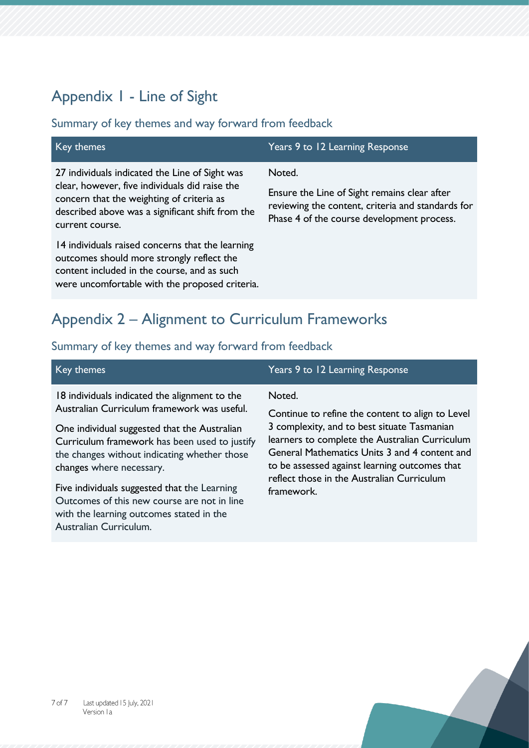## Appendix 1 - Line of Sight

#### Summary of key themes and way forward from feedback

| Key themes                                                                                                                                                                                                           | Years 9 to 12 Learning Response                                                                                                                           |
|----------------------------------------------------------------------------------------------------------------------------------------------------------------------------------------------------------------------|-----------------------------------------------------------------------------------------------------------------------------------------------------------|
| 27 individuals indicated the Line of Sight was<br>clear, however, five individuals did raise the<br>concern that the weighting of criteria as<br>described above was a significant shift from the<br>current course. | Noted.<br>Ensure the Line of Sight remains clear after<br>reviewing the content, criteria and standards for<br>Phase 4 of the course development process. |
| 14 individuals raised concerns that the learning<br>outcomes should more strongly reflect the<br>content included in the course, and as such<br>were uncomfortable with the proposed criteria.                       |                                                                                                                                                           |

## Appendix 2 – Alignment to Curriculum Frameworks

#### Summary of key themes and way forward from feedback

| Key themes                                    | Years 9 to 12 Learning Response                  |
|-----------------------------------------------|--------------------------------------------------|
| 18 individuals indicated the alignment to the | Noted.                                           |
| Australian Curriculum framework was useful.   | Continue to refine the content to align to Level |
|                                               | 3 concelector and to boot stands. Technology     |

One individual suggested that the Australian Curriculum framework has been used to justify the changes without indicating whether those changes where necessary.

Five individuals suggested that the Learning Outcomes of this new course are not in line with the learning outcomes stated in the Australian Curriculum.

3 complexity, and to best situate Tasmanian learners to complete the Australian Curriculum General Mathematics Units 3 and 4 content and to be assessed against learning outcomes that reflect those in the Australian Curriculum framework.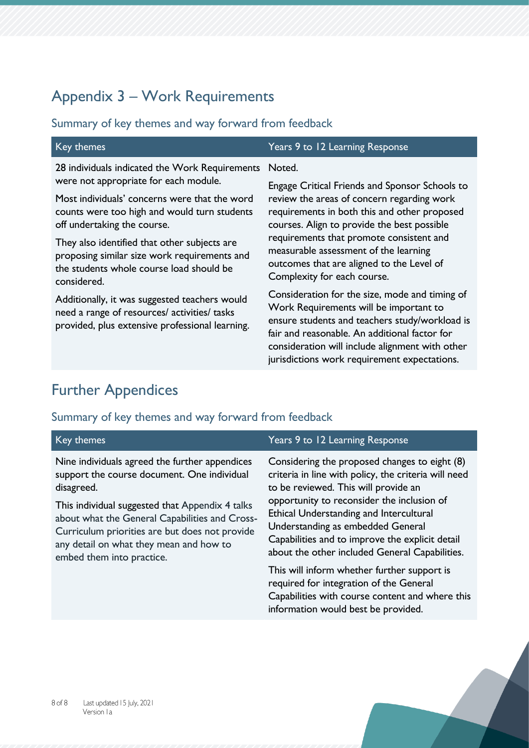## Appendix 3 – Work Requirements

#### Summary of key themes and way forward from feedback

| Key themes                                                                                                                                              | Years 9 to 12 Learning Response                                                                                                                                                                                                                                                                                                                                                                                                                                                                                                                                                                                                                                |
|---------------------------------------------------------------------------------------------------------------------------------------------------------|----------------------------------------------------------------------------------------------------------------------------------------------------------------------------------------------------------------------------------------------------------------------------------------------------------------------------------------------------------------------------------------------------------------------------------------------------------------------------------------------------------------------------------------------------------------------------------------------------------------------------------------------------------------|
| 28 individuals indicated the Work Requirements                                                                                                          | Noted.                                                                                                                                                                                                                                                                                                                                                                                                                                                                                                                                                                                                                                                         |
| were not appropriate for each module.                                                                                                                   | Engage Critical Friends and Sponsor Schools to<br>review the areas of concern regarding work<br>requirements in both this and other proposed<br>courses. Align to provide the best possible<br>requirements that promote consistent and<br>measurable assessment of the learning<br>outcomes that are aligned to the Level of<br>Complexity for each course.<br>Consideration for the size, mode and timing of<br>Work Requirements will be important to<br>ensure students and teachers study/workload is<br>fair and reasonable. An additional factor for<br>consideration will include alignment with other<br>jurisdictions work requirement expectations. |
| Most individuals' concerns were that the word<br>counts were too high and would turn students<br>off undertaking the course.                            |                                                                                                                                                                                                                                                                                                                                                                                                                                                                                                                                                                                                                                                                |
| They also identified that other subjects are<br>proposing similar size work requirements and<br>the students whole course load should be<br>considered. |                                                                                                                                                                                                                                                                                                                                                                                                                                                                                                                                                                                                                                                                |
| Additionally, it was suggested teachers would<br>need a range of resources/ activities/ tasks<br>provided, plus extensive professional learning.        |                                                                                                                                                                                                                                                                                                                                                                                                                                                                                                                                                                                                                                                                |

## Further Appendices

#### Summary of key themes and way forward from feedback

| Key themes                                                                                                                                                                                                                                                                                                                                 | Years 9 to 12 Learning Response                                                                                                                                                                                                                                                                                                                                                  |
|--------------------------------------------------------------------------------------------------------------------------------------------------------------------------------------------------------------------------------------------------------------------------------------------------------------------------------------------|----------------------------------------------------------------------------------------------------------------------------------------------------------------------------------------------------------------------------------------------------------------------------------------------------------------------------------------------------------------------------------|
| Nine individuals agreed the further appendices<br>support the course document. One individual<br>disagreed.<br>This individual suggested that Appendix 4 talks<br>about what the General Capabilities and Cross-<br>Curriculum priorities are but does not provide<br>any detail on what they mean and how to<br>embed them into practice. | Considering the proposed changes to eight (8)<br>criteria in line with policy, the criteria will need<br>to be reviewed. This will provide an<br>opportunity to reconsider the inclusion of<br>Ethical Understanding and Intercultural<br>Understanding as embedded General<br>Capabilities and to improve the explicit detail<br>about the other included General Capabilities. |
|                                                                                                                                                                                                                                                                                                                                            | This will inform whether further support is<br>required for integration of the General<br>Capabilities with course content and where this                                                                                                                                                                                                                                        |

information would best be provided.